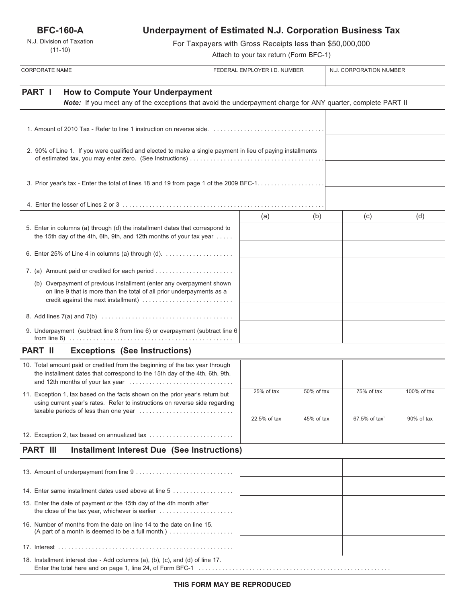**BFC-160-A**

N.J. Division of Taxation (11-10)

# **Underpayment of Estimated N.J. Corporation Business Tax**

For Taxpayers with Gross Receipts less than \$50,000,000

Attach to your tax return (Form BFC-1)

| <b>CORPORATE NAME</b>                                                                                                                                                                 | FEDERAL EMPLOYER I.D. NUMBER |            | N.J. CORPORATION NUMBER |             |
|---------------------------------------------------------------------------------------------------------------------------------------------------------------------------------------|------------------------------|------------|-------------------------|-------------|
|                                                                                                                                                                                       |                              |            |                         |             |
| <b>PART I</b><br><b>How to Compute Your Underpayment</b><br>Note: If you meet any of the exceptions that avoid the underpayment charge for ANY quarter, complete PART II              |                              |            |                         |             |
|                                                                                                                                                                                       |                              |            |                         |             |
|                                                                                                                                                                                       |                              |            |                         |             |
|                                                                                                                                                                                       |                              |            |                         |             |
| 2. 90% of Line 1. If you were qualified and elected to make a single payment in lieu of paying installments                                                                           |                              |            |                         |             |
|                                                                                                                                                                                       |                              |            |                         |             |
|                                                                                                                                                                                       |                              |            |                         |             |
|                                                                                                                                                                                       |                              |            |                         |             |
|                                                                                                                                                                                       | (a)                          | (b)        | (c)                     | (d)         |
| 5. Enter in columns (a) through (d) the installment dates that correspond to<br>the 15th day of the 4th, 6th, 9th, and 12th months of your tax year $\dots$ .                         |                              |            |                         |             |
|                                                                                                                                                                                       |                              |            |                         |             |
|                                                                                                                                                                                       |                              |            |                         |             |
| 7. (a) Amount paid or credited for each period                                                                                                                                        |                              |            |                         |             |
| (b) Overpayment of previous installment (enter any overpayment shown<br>on line 9 that is more than the total of all prior underpayments as a<br>credit against the next installment) |                              |            |                         |             |
|                                                                                                                                                                                       |                              |            |                         |             |
| 9. Underpayment (subtract line 8 from line 6) or overpayment (subtract line 6                                                                                                         |                              |            |                         |             |
| <b>PART II</b><br><b>Exceptions (See Instructions)</b>                                                                                                                                |                              |            |                         |             |
| 10. Total amount paid or credited from the beginning of the tax year through<br>the installment dates that correspond to the 15th day of the 4th, 6th, 9th,                           |                              |            |                         |             |
| 11. Exception 1, tax based on the facts shown on the prior year's return but                                                                                                          | 25% of tax                   | 50% of tax | 75% of tax              | 100% of tax |
| using current year's rates. Refer to instructions on reverse side regarding                                                                                                           |                              |            |                         |             |
|                                                                                                                                                                                       | 22.5% of tax                 | 45% of tax | 67.5% of tax`           | 90% of tax  |
| 12. Exception 2, tax based on annualized tax                                                                                                                                          |                              |            |                         |             |
| <b>PART III</b><br><b>Installment Interest Due (See Instructions)</b>                                                                                                                 |                              |            |                         |             |
|                                                                                                                                                                                       |                              |            |                         |             |
|                                                                                                                                                                                       |                              |            |                         |             |
| 14. Enter same installment dates used above at line 5                                                                                                                                 |                              |            |                         |             |
| 15. Enter the date of payment or the 15th day of the 4th month after                                                                                                                  |                              |            |                         |             |
| 16. Number of months from the date on line 14 to the date on line 15.<br>(A part of a month is deemed to be a full month.) $\ldots$                                                   |                              |            |                         |             |
|                                                                                                                                                                                       |                              |            |                         |             |
| 18. Installment interest due - Add columns (a), (b), (c), and (d) of line 17.                                                                                                         |                              |            |                         |             |

Enter the total here and on page 1, line 24, of Form BFC-1 . . . . . . . . . . . . . . . . . . . . . . . . . . . . . . . . . . . . . . . . . . . . . . . . . . . . . . . . .